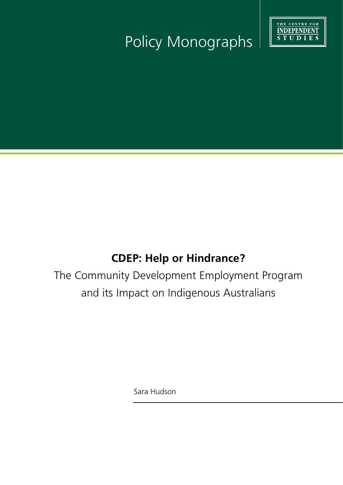

# Policy Monographs

## **CDEP: Help or Hindrance?**

The Community Development Employment Program and its Impact on Indigenous Australians

Sara Hudson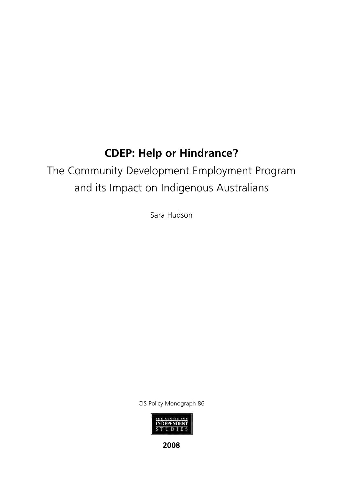## **CDEP: Help or Hindrance?**

## The Community Development Employment Program and its Impact on Indigenous Australians

Sara Hudson

CIS Policy Monograph 86



**2008**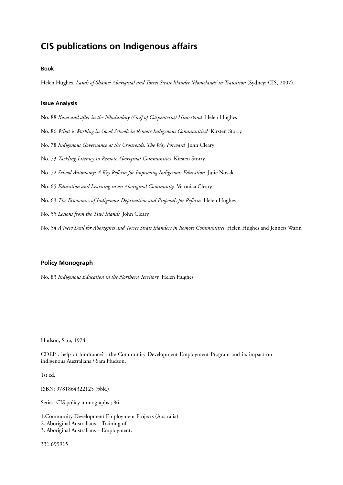### **CIS publications on Indigenous affairs**

#### **Book**

Helen Hughes, *Lands of Shame: Aboriginal and Torres Strait Islander 'Homelands' in Transition* (Sydney: CIS, 2007).

#### **Issue Analysis**

No. 88 *Kava and after in the Nhulunbuy (Gulf of Carpenteria) Hinterland* Helen Hughes

No. 86 *What is Working in Good Schools in Remote Indigenous Communities?* Kirsten Storry

No. 78 *Indigenous Governance at the Crossroads: The Way Forward* John Cleary

No. 73 *Tackling Literacy in Remote Aboriginal Communities* Kirsten Storry

No. 72 *School Autonomy: A Key Reform for Improving Indigenous Education* Julie Novak

No. 65 *Education and Learning in an Aboriginal Community* Veronica Cleary

No. 63 *The Economics of Indigenous Deprivation and Proposals for Reform* Helen Hughes

No. 55 *Lessons from the Tiwi Islands* John Cleary

No. 54 *A New Deal for Aborigines and Torres Strait Islanders in Remote Communities* Helen Hughes and Jenness Warin

#### **Policy Monograph**

No. 83 *Indigenous Education in the Northern Territory* Helen Hughes

Hudson, Sara, 1974–

CDEP : help or hindrance? : the Community Development Employment Program and its impact on indigenous Australians / Sara Hudson.

1st ed.

ISBN: 9781864322125 (pbk.)

Series: CIS policy monographs ; 86.

1.Community Development Employment Projects (Australia) 2. Aboriginal Australians—Training of.

3. Aboriginal Australians—Employment.

331.699915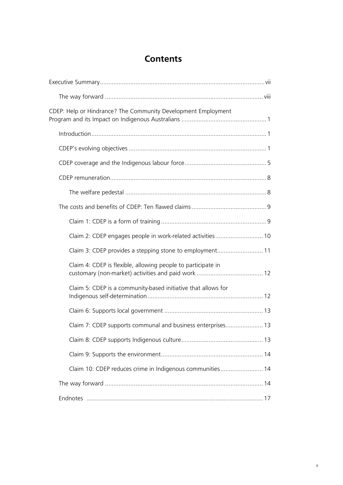## **Contents**

| CDEP: Help or Hindrance? The Community Development Employment |  |
|---------------------------------------------------------------|--|
|                                                               |  |
|                                                               |  |
|                                                               |  |
|                                                               |  |
|                                                               |  |
|                                                               |  |
|                                                               |  |
| Claim 2: CDEP engages people in work-related activities 10    |  |
| Claim 3: CDEP provides a stepping stone to employment 11      |  |
| Claim 4: CDEP is flexible, allowing people to participate in  |  |
| Claim 5: CDEP is a community-based initiative that allows for |  |
|                                                               |  |
| Claim 7: CDEP supports communal and business enterprises 13   |  |
|                                                               |  |
|                                                               |  |
| Claim 10: CDEP reduces crime in Indigenous communities 14     |  |
|                                                               |  |
|                                                               |  |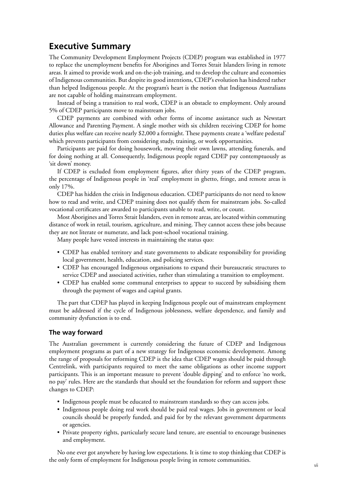### **Executive Summary**

The Community Development Employment Projects (CDEP) program was established in 1977 to replace the unemployment benefits for Aborigines and Torres Strait Islanders living in remote areas. It aimed to provide work and on-the-job training, and to develop the culture and economies of Indigenous communities. But despite its good intentions, CDEP's evolution has hindered rather than helped Indigenous people. At the program's heart is the notion that Indigenous Australians are not capable of holding mainstream employment.

Instead of being a transition to real work, CDEP is an obstacle to employment. Only around 5% of CDEP participants move to mainstream jobs.

CDEP payments are combined with other forms of income assistance such as Newstart Allowance and Parenting Payment. A single mother with six children receiving CDEP for home duties plus welfare can receive nearly \$2,000 a fortnight. These payments create a 'welfare pedestal' which prevents participants from considering study, training, or work opportunities.

Participants are paid for doing housework, mowing their own lawns, attending funerals, and for doing nothing at all. Consequently, Indigenous people regard CDEP pay contemptuously as 'sit down' money.

If CDEP is excluded from employment figures, after thirty years of the CDEP program, the percentage of Indigenous people in 'real' employment in ghetto, fringe, and remote areas is only 17%.

CDEP has hidden the crisis in Indigenous education. CDEP participants do not need to know how to read and write, and CDEP training does not qualify them for mainstream jobs. So-called vocational certificates are awarded to participants unable to read, write, or count.

Most Aborigines and Torres Strait Islanders, even in remote areas, are located within commuting distance of work in retail, tourism, agriculture, and mining. They cannot access these jobs because they are not literate or numerate, and lack post-school vocational training.

Many people have vested interests in maintaining the status quo:

- CDEP has enabled territory and state governments to abdicate responsibility for providing local government, health, education, and policing services.
- CDEP has encouraged Indigenous organisations to expand their bureaucratic structures to service CDEP and associated activities, rather than stimulating a transition to employment.
- CDEP has enabled some communal enterprises to appear to succeed by subsidising them through the payment of wages and capital grants.

The part that CDEP has played in keeping Indigenous people out of mainstream employment must be addressed if the cycle of Indigenous joblessness, welfare dependence, and family and community dysfunction is to end.

#### **The way forward**

The Australian government is currently considering the future of CDEP and Indigenous employment programs as part of a new strategy for Indigenous economic development. Among the range of proposals for reforming CDEP is the idea that CDEP wages should be paid through Centrelink, with participants required to meet the same obligations as other income support participants. This is an important measure to prevent 'double dipping' and to enforce 'no work, no pay' rules. Here are the standards that should set the foundation for reform and support these changes to CDEP:

- Indigenous people must be educated to mainstream standards so they can access jobs.
- Indigenous people doing real work should be paid real wages. Jobs in government or local councils should be properly funded, and paid for by the relevant government departments or agencies.
- Private property rights, particularly secure land tenure, are essential to encourage businesses and employment.

No one ever got anywhere by having low expectations. It is time to stop thinking that CDEP is the only form of employment for Indigenous people living in remote communities.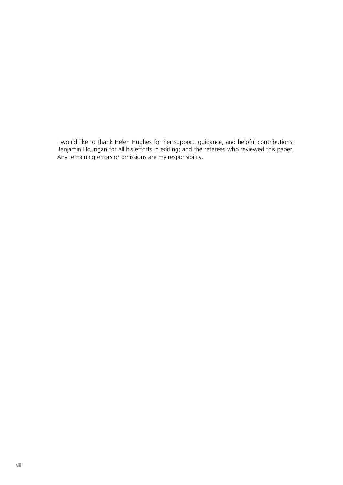I would like to thank Helen Hughes for her support, guidance, and helpful contributions; Benjamin Hourigan for all his efforts in editing; and the referees who reviewed this paper. Any remaining errors or omissions are my responsibility.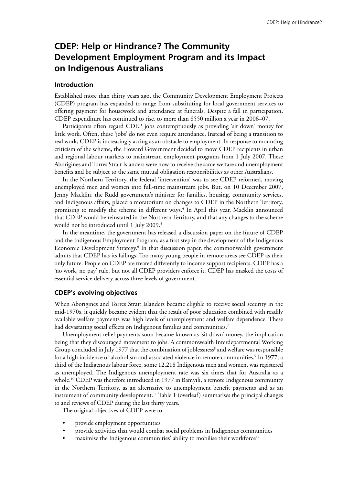### **CDEP: Help or Hindrance? The Community Development Employment Program and its Impact on Indigenous Australians**

#### **Introduction**

Established more than thirty years ago, the Community Development Employment Projects (CDEP) program has expanded to range from substituting for local government services to offering payment for housework and attendance at funerals. Despite a fall in participation, CDEP expenditure has continued to rise, to more than \$550 million a year in 2006–07.

Participants often regard CDEP jobs contemptuously as providing 'sit down' money for little work. Often, these 'jobs' do not even require attendance. Instead of being a transition to real work, CDEP is increasingly acting as an obstacle to employment. In response to mounting criticism of the scheme, the Howard Government decided to move CDEP recipients in urban and regional labour markets to mainstream employment programs from 1 July 2007. These Aborigines and Torres Strait Islanders were now to receive the same welfare and unemployment benefits and be subject to the same mutual obligation responsibilities as other Australians.

In the Northern Territory, the federal 'intervention' was to see CDEP reformed, moving unemployed men and women into full-time mainstream jobs. But, on 10 December 2007, Jenny Macklin, the Rudd government's minister for families, housing, community services, and Indigenous affairs, placed a moratorium on changes to CDEP in the Northern Territory, promising to modify the scheme in different ways.<sup>4</sup> In April this year, Macklin announced that CDEP would be reinstated in the Northern Territory, and that any changes to the scheme would not be introduced until 1 July 2009.<sup>5</sup>

In the meantime, the government has released a discussion paper on the future of CDEP and the Indigenous Employment Program, as a first step in the development of the Indigenous Economic Development Strategy.<sup>6</sup> In that discussion paper, the commonwealth government admits that CDEP has its failings. Too many young people in remote areas see CDEP as their only future. People on CDEP are treated differently to income support recipients. CDEP has a 'no work, no pay' rule, but not all CDEP providers enforce it. CDEP has masked the costs of essential service delivery across three levels of government.

#### **CDEP's evolving objectives**

When Aborigines and Torres Strait Islanders became eligible to receive social security in the mid-1970s, it quickly became evident that the result of poor education combined with readily available welfare payments was high levels of unemployment and welfare dependence. These had devastating social effects on Indigenous families and communities.<sup>7</sup>

Unemployment relief payments soon became known as 'sit down' money, the implication being that they discouraged movement to jobs. A commonwealth Interdepartmental Working Group concluded in July 1977 that the combination of joblessness<sup>8</sup> and welfare was responsible for a high incidence of alcoholism and associated violence in remote communities.<sup>9</sup> In 1977, a third of the Indigenous labour force, some 12,218 Indigenous men and women, was registered as unemployed. The Indigenous unemployment rate was six times that for Australia as a whole.10 CDEP was therefore introduced in 1977 in Bamyili, a remote Indigenous community in the Northern Territory, as an alternative to unemployment benefit payments and as an instrument of community development.<sup>11</sup> Table 1 (overleaf) summarises the principal changes to and reviews of CDEP during the last thirty years.

The original objectives of CDEP were to

- provide employment opportunities
- provide activities that would combat social problems in Indigenous communities
- maximise the Indigenous communities' ability to mobilise their workforce<sup>12</sup>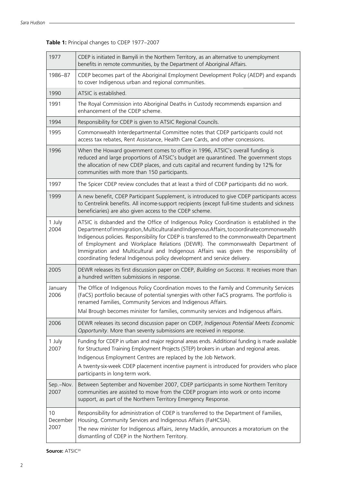| 1977                   | CDEP is initiated in Bamyili in the Northern Territory, as an alternative to unemployment<br>benefits in remote communities, by the Department of Aboriginal Affairs.                                                                                                                                                                                                                                                                                                                                                                      |
|------------------------|--------------------------------------------------------------------------------------------------------------------------------------------------------------------------------------------------------------------------------------------------------------------------------------------------------------------------------------------------------------------------------------------------------------------------------------------------------------------------------------------------------------------------------------------|
| 1986-87                | CDEP becomes part of the Aboriginal Employment Development Policy (AEDP) and expands<br>to cover Indigenous urban and regional communities.                                                                                                                                                                                                                                                                                                                                                                                                |
| 1990                   | ATSIC is established.                                                                                                                                                                                                                                                                                                                                                                                                                                                                                                                      |
| 1991                   | The Royal Commission into Aboriginal Deaths in Custody recommends expansion and<br>enhancement of the CDEP scheme.                                                                                                                                                                                                                                                                                                                                                                                                                         |
| 1994                   | Responsibility for CDEP is given to ATSIC Regional Councils.                                                                                                                                                                                                                                                                                                                                                                                                                                                                               |
| 1995                   | Commonwealth Interdepartmental Committee notes that CDEP participants could not<br>access tax rebates, Rent Assistance, Health Care Cards, and other concessions.                                                                                                                                                                                                                                                                                                                                                                          |
| 1996                   | When the Howard government comes to office in 1996, ATSIC's overall funding is<br>reduced and large proportions of ATSIC's budget are quarantined. The government stops<br>the allocation of new CDEP places, and cuts capital and recurrent funding by 12% for<br>communities with more than 150 participants.                                                                                                                                                                                                                            |
| 1997                   | The Spicer CDEP review concludes that at least a third of CDEP participants did no work.                                                                                                                                                                                                                                                                                                                                                                                                                                                   |
| 1999                   | A new benefit, CDEP Participant Supplement, is introduced to give CDEP participants access<br>to Centrelink benefits. All income-support recipients (except full-time students and sickness<br>beneficiaries) are also given access to the CDEP scheme.                                                                                                                                                                                                                                                                                    |
| 1 July<br>2004         | ATSIC is disbanded and the Office of Indigenous Policy Coordination is established in the<br>Department of Immigration, Multicultural and Indigenous Affairs, to coordinate commonwealth<br>Indigenous policies. Responsibility for CDEP is transferred to the commonwealth Department<br>of Employment and Workplace Relations (DEWR). The commonwealth Department of<br>Immigration and Multicultural and Indigenous Affairs was given the responsibility of<br>coordinating federal Indigenous policy development and service delivery. |
| 2005                   | DEWR releases its first discussion paper on CDEP, Building on Success. It receives more than<br>a hundred written submissions in response.                                                                                                                                                                                                                                                                                                                                                                                                 |
| January<br>2006        | The Office of Indigenous Policy Coordination moves to the Family and Community Services<br>(FaCS) portfolio because of potential synergies with other FaCS programs. The portfolio is<br>renamed Families, Community Services and Indigenous Affairs.<br>Mal Brough becomes minister for families, community services and Indigenous affairs.                                                                                                                                                                                              |
| 2006                   | DEWR releases its second discussion paper on CDEP, Indigenous Potential Meets Economic<br>Opportunity. More than seventy submissions are received in response.                                                                                                                                                                                                                                                                                                                                                                             |
| 1 July<br>2007         | Funding for CDEP in urban and major regional areas ends. Additional funding is made available<br>for Structured Training Employment Projects (STEP) brokers in urban and regional areas.<br>Indigenous Employment Centres are replaced by the Job Network.<br>A twenty-six-week CDEP placement incentive payment is introduced for providers who place<br>participants in long-term work.                                                                                                                                                  |
| Sep.-Nov.<br>2007      | Between September and November 2007, CDEP participants in some Northern Territory<br>communities are assisted to move from the CDEP program into work or onto income<br>support, as part of the Northern Territory Emergency Response.                                                                                                                                                                                                                                                                                                     |
| 10<br>December<br>2007 | Responsibility for administration of CDEP is transferred to the Department of Families,<br>Housing, Community Services and Indigenous Affairs (FaHCSIA).<br>The new minister for Indigenous affairs, Jenny Macklin, announces a moratorium on the<br>dismantling of CDEP in the Northern Territory.                                                                                                                                                                                                                                        |

## **Table 1:** Principal changes to CDEP 1977–2007

**Source:** ATSIC<sup>20</sup>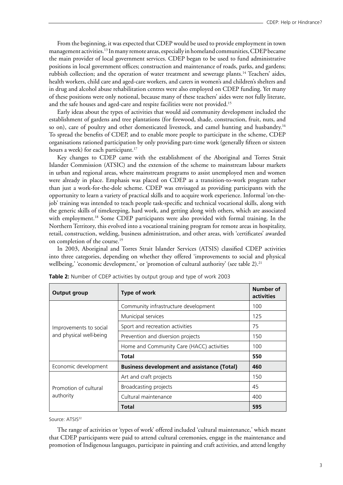From the beginning, it was expected that CDEP would be used to provide employment in town management activities.<sup>13</sup> In many remote areas, especially in homeland communities, CDEP became the main provider of local government services. CDEP began to be used to fund administrative positions in local government offices; construction and maintenance of roads, parks, and gardens; rubbish collection; and the operation of water treatment and sewerage plants.14 Teachers' aides, health workers, child care and aged-care workers, and carers in women's and children's shelters and in drug and alcohol abuse rehabilitation centres were also employed on CDEP funding. Yet many of these positions were only notional, because many of these teachers' aides were not fully literate, and the safe houses and aged-care and respite facilities were not provided.<sup>15</sup>

Early ideas about the types of activities that would aid community development included the establishment of gardens and tree plantations (for firewood, shade, construction, fruit, nuts, and so on), care of poultry and other domesticated livestock, and camel hunting and husbandry.<sup>16</sup> To spread the benefits of CDEP, and to enable more people to participate in the scheme, CDEP organisations rationed participation by only providing part-time work (generally fifteen or sixteen hours a week) for each participant.<sup>17</sup>

Key changes to CDEP came with the establishment of the Aboriginal and Torres Strait Islander Commission (ATSIC) and the extension of the scheme to mainstream labour markets in urban and regional areas, where mainstream programs to assist unemployed men and women were already in place. Emphasis was placed on CDEP as a transition-to-work program rather than just a work-for-the-dole scheme. CDEP was envisaged as providing participants with the opportunity to learn a variety of practical skills and to acquire work experience. Informal 'on-thejob' training was intended to teach people task-specific and technical vocational skills, along with the generic skills of timekeeping, hard work, and getting along with others, which are associated with employment.18 Some CDEP participants were also provided with formal training. In the Northern Territory, this evolved into a vocational training program for remote areas in hospitality, retail, construction, welding, business administration, and other areas, with 'certificates' awarded on completion of the course.<sup>19</sup>

In 2003, Aboriginal and Torres Strait Islander Services (ATSIS) classified CDEP activities into three categories, depending on whether they offered 'improvements to social and physical wellbeing,' 'economic development,' or 'promotion of cultural authority' (see table 2).<sup>21</sup>

| <b>Output group</b>                | Type of work                                       | Number of<br>activities |
|------------------------------------|----------------------------------------------------|-------------------------|
|                                    | Community infrastructure development               | 100                     |
|                                    | Municipal services                                 | 125                     |
| Improvements to social             | Sport and recreation activities                    | 75                      |
| and physical well-being            | Prevention and diversion projects                  | 150                     |
|                                    | Home and Community Care (HACC) activities          | 100                     |
|                                    | Total                                              | 550                     |
| Economic development               | <b>Business development and assistance (Total)</b> | 460                     |
|                                    | Art and craft projects                             | 150                     |
| Promotion of cultural<br>authority | Broadcasting projects                              | 45                      |
|                                    | Cultural maintenance                               | 400                     |
|                                    | <b>Total</b>                                       | 595                     |

**Table 2:** Number of CDEP activities by output group and type of work 2003

Source: ATSIS<sup>22</sup>

The range of activities or 'types of work' offered included 'cultural maintenance,' which meant that CDEP participants were paid to attend cultural ceremonies, engage in the maintenance and promotion of Indigenous languages, participate in painting and craft activities, and attend lengthy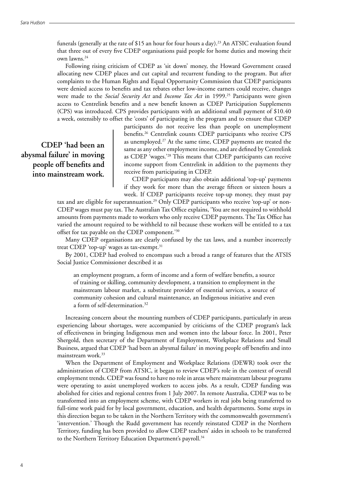funerals (generally at the rate of \$15 an hour for four hours a day).<sup>23</sup> An ATSIC evaluation found that three out of every five CDEP organisations paid people for home duties and mowing their own lawns.24

Following rising criticism of CDEP as 'sit down' money, the Howard Government ceased allocating new CDEP places and cut capital and recurrent funding to the program. But after complaints to the Human Rights and Equal Opportunity Commission that CDEP participants were denied access to benefits and tax rebates other low-income earners could receive, changes were made to the *Social Security Act* and *Income Tax Act* in 1999.<sup>25</sup> Participants were given access to Centrelink benefits and a new benefit known as CDEP Participation Supplements (CPS) was introduced. CPS provides participants with an additional small payment of \$10.40 a week, ostensibly to offset the 'costs' of participating in the program and to ensure that CDEP

 **CDEP 'had been an abysmal failure' in moving people off benefits and into mainstream work.**

participants do not receive less than people on unemployment benefits.26 Centrelink counts CDEP participants who receive CPS as unemployed.27 At the same time, CDEP payments are treated the same as any other employment income, and are defined by Centrelink as CDEP 'wages.'28 This means that CDEP participants can receive income support from Centrelink in addition to the payments they receive from participating in CDEP.

CDEP participants may also obtain additional 'top-up' payments if they work for more than the average fifteen or sixteen hours a week. If CDEP participants receive top-up money, they must pay

tax and are eligible for superannuation.29 Only CDEP participants who receive 'top-up' or non-CDEP wages must pay tax. The Australian Tax Office explains, 'You are not required to withhold amounts from payments made to workers who only receive CDEP payments. The Tax Office has varied the amount required to be withheld to nil because these workers will be entitled to a tax offset for tax payable on the CDEP component.'30

Many CDEP organisations are clearly confused by the tax laws, and a number incorrectly treat CDEP 'top-up' wages as tax-exempt.<sup>31</sup>

By 2001, CDEP had evolved to encompass such a broad a range of features that the ATSIS Social Justice Commissioner described it as

an employment program, a form of income and a form of welfare benefits, a source of training or skilling, community development, a transition to employment in the mainstream labour market, a substitute provider of essential services, a source of community cohesion and cultural maintenance, an Indigenous initiative and even a form of self-determination.<sup>32</sup>

Increasing concern about the mounting numbers of CDEP participants, particularly in areas experiencing labour shortages, were accompanied by criticisms of the CDEP program's lack of effectiveness in bringing Indigenous men and women into the labour force. In 2001, Peter Shergold, then secretary of the Department of Employment, Workplace Relations and Small Business, argued that CDEP 'had been an abysmal failure' in moving people off benefits and into mainstream work.<sup>33</sup>

When the Department of Employment and Workplace Relations (DEWR) took over the administration of CDEP from ATSIC, it began to review CDEP's role in the context of overall employment trends. CDEP was found to have no role in areas where mainstream labour programs were operating to assist unemployed workers to access jobs. As a result, CDEP funding was abolished for cities and regional centres from 1 July 2007. In remote Australia, CDEP was to be transformed into an employment scheme, with CDEP workers in real jobs being transferred to full-time work paid for by local government, education, and health departments. Some steps in this direction began to be taken in the Northern Territory with the commonwealth government's 'intervention.' Though the Rudd government has recently reinstated CDEP in the Northern Territory, funding has been provided to allow CDEP teachers' aides in schools to be transferred to the Northern Territory Education Department's payroll.<sup>34</sup>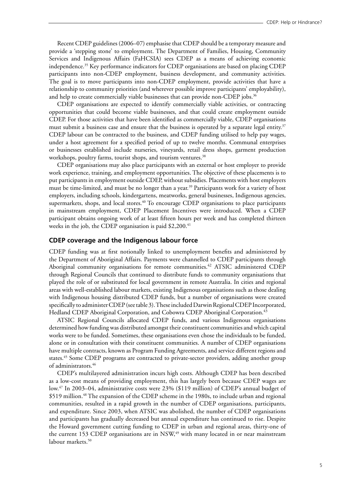Recent CDEP guidelines (2006–07) emphasise that CDEP should be a temporary measure and provide a 'stepping stone' to employment. The Department of Families, Housing, Community Services and Indigenous Affairs (FaHCSIA) sees CDEP as a means of achieving economic independence.35 Key performance indicators for CDEP organisations are based on placing CDEP participants into non-CDEP employment, business development, and community activities. The goal is to move participants into non-CDEP employment, provide activities that have a relationship to community priorities (and wherever possible improve participants' employability), and help to create commercially viable businesses that can provide non-CDEP jobs.<sup>36</sup>

CDEP organisations are expected to identify commercially viable activities, or contracting opportunities that could become viable businesses, and that could create employment outside CDEP. For those activities that have been identified as commercially viable, CDEP organisations must submit a business case and ensure that the business is operated by a separate legal entity.<sup>37</sup> CDEP labour can be contracted to the business, and CDEP funding utilised to help pay wages, under a host agreement for a specified period of up to twelve months. Communal enterprises or businesses established include nurseries, vineyards, retail dress shops, garment production workshops, poultry farms, tourist shops, and tourism ventures.<sup>38</sup>

CDEP organisations may also place participants with an external or host employer to provide work experience, training, and employment opportunities. The objective of these placements is to put participants in employment outside CDEP, without subsidies. Placements with host employers must be time-limited, and must be no longer than a year.<sup>39</sup> Participants work for a variety of host employers, including schools, kindergartens, meatworks, general businesses, Indigenous agencies, supermarkets, shops, and local stores.<sup>40</sup> To encourage CDEP organisations to place participants in mainstream employment, CDEP Placement Incentives were introduced. When a CDEP participant obtains ongoing work of at least fifteen hours per week and has completed thirteen weeks in the job, the CDEP organisation is paid  $$2,200.<sup>41</sup>$ 

#### **CDEP coverage and the Indigenous labour force**

CDEP funding was at first notionally linked to unemployment benefits and administered by the Department of Aboriginal Affairs. Payments were channelled to CDEP participants through Aboriginal community organisations for remote communities.<sup>42</sup> ATSIC administered CDEP through Regional Councils that continued to distribute funds to community organisations that played the role of or substituted for local government in remote Australia. In cities and regional areas with well-established labour markets, existing Indigenous organisations such as those dealing with Indigenous housing distributed CDEP funds, but a number of organisations were created specifically to administer CDEP (see table 3). These included Darwin Regional CDEP Incorporated, Hedland CDEP Aboriginal Corporation, and Cobowra CDEP Aboriginal Corporation.43

ATSIC Regional Councils allocated CDEP funds, and various Indigenous organisations determined how funding was distributed amongst their constituent communities and which capital works were to be funded. Sometimes, these organisations even chose the individuals to be funded, alone or in consultation with their constituent communities. A number of CDEP organisations have multiple contracts, known as Program Funding Agreements, and service different regions and states.<sup>45</sup> Some CDEP programs are contracted to private-sector providers, adding another group of administrators.46

CDEP's multilayered administration incurs high costs. Although CDEP has been described as a low-cost means of providing employment, this has largely been because CDEP wages are low.47 In 2003–04, administrative costs were 23% (\$119 million) of CDEP's annual budget of \$519 million.<sup>48</sup> The expansion of the CDEP scheme in the 1980s, to include urban and regional communities, resulted in a rapid growth in the number of CDEP organisations, participants, and expenditure. Since 2003, when ATSIC was abolished, the number of CDEP organisations and participants has gradually decreased but annual expenditure has continued to rise. Despite the Howard government cutting funding to CDEP in urban and regional areas, thirty-one of the current 153 CDEP organisations are in  $NSW<sub>1</sub><sup>49</sup>$  with many located in or near mainstream labour markets.<sup>50</sup>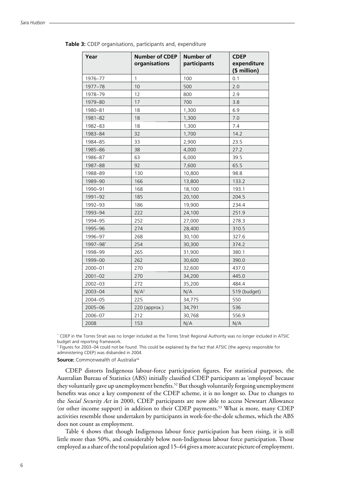| Year        | <b>Number of CDEP</b><br>organisations | <b>Number of</b><br>participants | <b>CDEP</b><br>expenditure<br>(\$ million) |
|-------------|----------------------------------------|----------------------------------|--------------------------------------------|
| 1976-77     | $\mathbf{1}$                           | 100                              | 0.1                                        |
| 1977-78     | 10                                     | 500                              | 2.0                                        |
| 1978-79     | 12                                     | 800                              | 2.9                                        |
| 1979-80     | 17                                     | 700                              | 3.8                                        |
| 1980-81     | 18                                     | 1,300                            | 6.9                                        |
| 1981-82     | 18                                     | 1,300                            | 7.0                                        |
| 1982-83     | 18                                     | 1,300                            | 7.4                                        |
| 1983-84     | 32                                     | 1,700                            | 14.2                                       |
| 1984-85     | 33                                     | 2,900                            | 23.5                                       |
| 1985-86     | 38                                     | 4,000                            | 27.2                                       |
| 1986-87     | 63                                     | 6,000                            | 39.5                                       |
| 1987-88     | 92                                     | 7,600                            | 65.5                                       |
| 1988-89     | 130                                    | 10,800                           | 98.8                                       |
| 1989-90     | 166                                    | 13,800                           | 133.2                                      |
| 1990-91     | 168                                    | 18,100                           | 193.1                                      |
| 1991-92     | 185                                    | 20,100                           | 204.5                                      |
| 1992-93     | 186                                    | 19,900                           | 234.4                                      |
| 1993-94     | 222                                    | 24,100                           | 251.9                                      |
| 1994-95     | 252                                    | 27,000                           | 278.3                                      |
| 1995-96     | 274                                    | 28,400                           | 310.5                                      |
| 1996-97     | 268                                    | 30,100                           | 327.6                                      |
| 1997-98*    | 254                                    | 30,300                           | 374.2                                      |
| 1998-99     | 265                                    | 31,900                           | 380.1                                      |
| 1999-00     | 262                                    | 30,600                           | 390.0                                      |
| 2000-01     | 270                                    | 32,600                           | 437.0                                      |
| $2001 - 02$ | 270                                    | 34,200                           | 445.0                                      |
| 2002-03     | 272                                    | 35,200                           | 484.4                                      |
| 2003-04     | $N/A^{\dagger}$                        | N/A                              | 519 (budget)                               |
| 2004-05     | 225                                    | 34,775                           | 550                                        |
| 2005-06     | 220 (approx.)                          | 34,791                           | 536                                        |
| 2006-07     | 212                                    | 30,768                           | 556.9                                      |
| 2008        | 153                                    | N/A                              | N/A                                        |

**Table 3:** CDEP organisations, participants and, expenditure

\* CDEP in the Torres Strait was no longer included as the Torres Strait Regional Authority was no longer included in ATSIC budget and reporting framework.

† Figures for 2003–04 could not be found. This could be explained by the fact that ATSIC (the agency responsible for administering CDEP) was disbanded in 2004.

**Source:** Commonwealth of Australia<sup>44</sup>

CDEP distorts Indigenous labour-force participation figures. For statistical purposes, the Australian Bureau of Statistics (ABS) initially classified CDEP participants as 'employed' because they voluntarily gave up unemployment benefits.<sup>52</sup> But though voluntarily forgoing unemployment benefits was once a key component of the CDEP scheme, it is no longer so. Due to changes to the *Social Security Act* in 2000, CDEP participants are now able to access Newstart Allowance (or other income support) in addition to their CDEP payments.53 What is more, many CDEP activities resemble those undertaken by participants in work-for-the-dole schemes, which the ABS does not count as employment.

Table 4 shows that though Indigenous labour force participation has been rising, it is still little more than 50%, and considerably below non-Indigenous labour force participation. Those employed as a share of the total population aged 15–64 gives a more accurate picture of employment.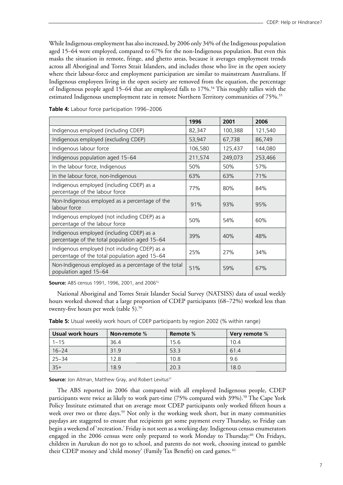While Indigenous employment has also increased, by 2006 only 34% of the Indigenous population aged 15–64 were employed, compared to 67% for the non-Indigenous population. But even this masks the situation in remote, fringe, and ghetto areas, because it averages employment trends across all Aboriginal and Torres Strait Islanders, and includes those who live in the open society where their labour-force and employment participation are similar to mainstream Australians. If Indigenous employees living in the open society are removed from the equation, the percentage of Indigenous people aged 15–64 that are employed falls to 17%.<sup>54</sup> This roughly tallies with the estimated Indigenous unemployment rate in remote Northern Territory communities of 75%.<sup>55</sup>

|                                                                                                | 1996    | 2001    | 2006    |
|------------------------------------------------------------------------------------------------|---------|---------|---------|
| Indigenous employed (including CDEP)                                                           | 82,347  | 100,388 | 121,540 |
| Indigenous employed (excluding CDEP)                                                           | 53,947  | 67,738  | 86,749  |
| Indigenous labour force                                                                        | 106,580 | 125,437 | 144,080 |
| Indigenous population aged 15-64                                                               | 211,574 | 249,073 | 253,466 |
| In the labour force, Indigenous                                                                | 50%     | 50%     | 57%     |
| In the labour force, non-Indigenous                                                            | 63%     | 63%     | 71%     |
| Indigenous employed (including CDEP) as a<br>percentage of the labour force                    | 77%     | 80%     | 84%     |
| Non-Indigenous employed as a percentage of the<br>labour force                                 | 91%     | 93%     | 95%     |
| Indigenous employed (not including CDEP) as a<br>percentage of the labour force                | 50%     | 54%     | 60%     |
| Indigenous employed (including CDEP) as a<br>percentage of the total population aged 15-64     | 39%     | 40%     | 48%     |
| Indigenous employed (not including CDEP) as a<br>percentage of the total population aged 15-64 | 25%     | 27%     | 34%     |
| Non-Indigenous employed as a percentage of the total<br>population aged 15-64                  | 51%     | 59%     | 67%     |

**Table 4:** Labour force participation 1996–2006

**Source:** ABS census 1991, 1996, 2001, and 2006<sup>51</sup>

National Aboriginal and Torres Strait Islander Social Survey (NATSISS) data of usual weekly hours worked showed that a large proportion of CDEP participants (68–72%) worked less than twenty-five hours per week (table 5).<sup>56</sup>

| Usual work hours | Non-remote % | Remote % | Very remote % |
|------------------|--------------|----------|---------------|
| $1 - 15$         | 36.4         | 15.6     | 10.4          |
| $16 - 24$        | 31.9         | 53.3     | 61.4          |
| $25 - 34$        | 12.8         | 10.8     | 9.6           |
| $35+$            | 18.9         | 20.3     | 18.0          |

**Table 5:** Usual weekly work hours of CDEP participants by region 2002 (% within range)

**Source:** Jon Altman, Matthew Gray, and Robert Levitus<sup>57</sup>

The ABS reported in 2006 that compared with all employed Indigenous people, CDEP participants were twice as likely to work part-time (75% compared with 39%).<sup>58</sup> The Cape York Policy Institute estimated that on average most CDEP participants only worked fifteen hours a week over two or three days.<sup>59</sup> Not only is the working week short, but in many communities paydays are staggered to ensure that recipients get some payment every Thursday, so Friday can begin a weekend of 'recreation.' Friday is not seen as a working day. Indigenous census enumerators engaged in the 2006 census were only prepared to work Monday to Thursday.<sup>60</sup> On Fridays, children in Aurukun do not go to school, and parents do not work, choosing instead to gamble their CDEP money and 'child money' (Family Tax Benefit) on card games. 61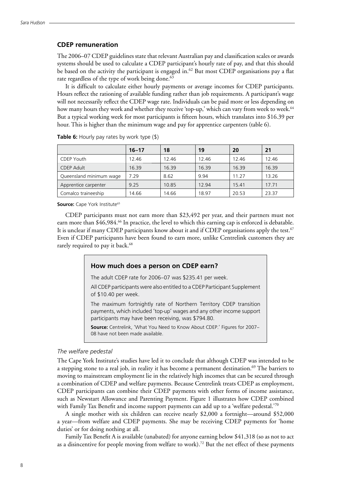#### **CDEP remuneration**

The 2006–07 CDEP guidelines state that relevant Australian pay and classification scales or awards systems should be used to calculate a CDEP participant's hourly rate of pay, and that this should be based on the activity the participant is engaged in.<sup>62</sup> But most CDEP organisations pay a flat rate regardless of the type of work being done.<sup>63</sup>

It is difficult to calculate either hourly payments or average incomes for CDEP participants. Hours reflect the rationing of available funding rather than job requirements. A participant's wage will not necessarily reflect the CDEP wage rate. Individuals can be paid more or less depending on how many hours they work and whether they receive 'top-up,' which can vary from week to week.<sup>64</sup> But a typical working week for most participants is fifteen hours, which translates into \$16.39 per hour. This is higher than the minimum wage and pay for apprentice carpenters (table 6).

|                         | $16 - 17$ | 18    | 19    | 20    | 21    |
|-------------------------|-----------|-------|-------|-------|-------|
| <b>CDEP Youth</b>       | 12.46     | 12.46 | 12.46 | 12.46 | 12.46 |
| <b>CDEP Adult</b>       | 16.39     | 16.39 | 16.39 | 16.39 | 16.39 |
| Queensland minimum wage | 7.29      | 8.62  | 9.94  | 11.27 | 13.26 |
| Apprentice carpenter    | 9.25      | 10.85 | 12.94 | 15.41 | 17.71 |
| Comalco traineeship     | 14.66     | 14.66 | 18.97 | 20.53 | 23.37 |

**Table 6:** Hourly pay rates by work type (\$)

**Source:** Cape York Institute<sup>65</sup>

CDEP participants must not earn more than \$23,492 per year, and their partners must not earn more than \$46,984.<sup>66</sup> In practice, the level to which this earning cap is enforced is debatable. It is unclear if many CDEP participants know about it and if CDEP organisations apply the test.<sup>67</sup> Even if CDEP participants have been found to earn more, unlike Centrelink customers they are rarely required to pay it back.<sup>68</sup>

#### **How much does a person on CDEP earn?**

The adult CDEP rate for 2006–07 was \$235.41 per week.

All CDEP participants were also entitled to a CDEP Participant Supplement of \$10.40 per week.

The maximum fortnightly rate of Northern Territory CDEP transition payments, which included 'top-up' wages and any other income support participants may have been receiving, was \$794.80.

**Source:** Centrelink, 'What You Need to Know About CDEP.' Figures for 2007– 08 have not been made available.

#### *The welfare pedestal*

The Cape York Institute's studies have led it to conclude that although CDEP was intended to be a stepping stone to a real job, in reality it has become a permanent destination.<sup>69</sup> The barriers to moving to mainstream employment lie in the relatively high incomes that can be secured through a combination of CDEP and welfare payments. Because Centrelink treats CDEP as employment, CDEP participants can combine their CDEP payments with other forms of income assistance, such as Newstart Allowance and Parenting Payment. Figure 1 illustrates how CDEP combined with Family Tax Benefit and income support payments can add up to a 'welfare pedestal.'<sup>70</sup>

A single mother with six children can receive nearly \$2,000 a fortnight—around \$52,000 a year—from welfare and CDEP payments. She may be receiving CDEP payments for 'home duties' or for doing nothing at all.

Family Tax Benefit A is available (unabated) for anyone earning below \$41,318 (so as not to act as a disincentive for people moving from welfare to work).<sup>72</sup> But the net effect of these payments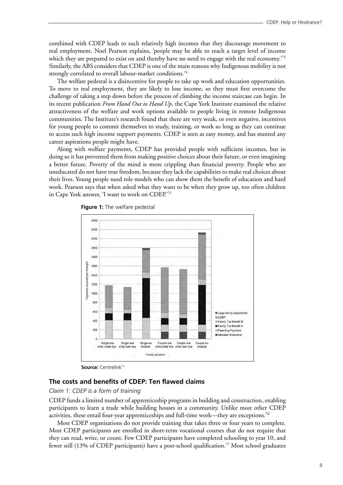combined with CDEP leads to such relatively high incomes that they discourage movement to real employment. Noel Pearson explains, 'people may be able to reach a target level of income which they are prepared to exist on and thereby have no need to engage with the real economy.<sup>73</sup> Similarly, the ABS considers that CDEP is one of the main reasons why Indigenous mobility is not strongly correlated to overall labour-market conditions.<sup>74</sup>

The welfare pedestal is a disincentive for people to take up work and education opportunities. To move to real employment, they are likely to lose income, so they must first overcome the challenge of taking a step down before the process of climbing the income staircase can begin. In its recent publication *From Hand Out to Hand Up*, the Cape York Institute examined the relative attractiveness of the welfare and work options available to people living in remote Indigenous communities. The Institute's research found that there are very weak, or even negative, incentives for young people to commit themselves to study, training, or work so long as they can continue to access such high income support payments. CDEP is seen as easy money, and has stunted any career aspirations people might have.

Along with welfare payments, CDEP has provided people with sufficient incomes, but in doing so it has prevented them from making positive choices about their future, or even imagining a better future. Poverty of the mind is more crippling than financial poverty. People who are uneducated do not have true freedom, because they lack the capabilities to make real choices about their lives. Young people need role models who can show them the benefit of education and hard work. Pearson says that when asked what they want to be when they grow up, too often children in Cape York answer, 'I want to work on CDEP.'75



 **Figure 1:** The welfare pedestal

**Source: Centrelink**71

#### **The costs and benefits of CDEP: Ten flawed claims**

#### *Claim 1: CDEP is a form of training*

CDEP funds a limited number of apprenticeship programs in building and construction, enabling participants to learn a trade while building houses in a community. Unlike most other CDEP activities, these entail four-year apprenticeships and full-time work—they are exceptions.<sup>76</sup>

Most CDEP organisations do not provide training that takes three or four years to complete. Most CDEP participants are enrolled in short-term vocational courses that do not require that they can read, write, or count. Few CDEP participants have completed schooling to year 10, and fewer still (13% of CDEP participants) have a post-school qualification.77 Most school graduates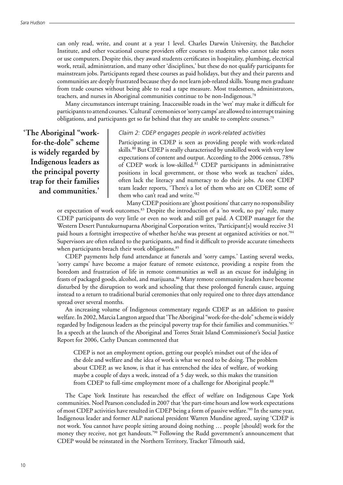can only read, write, and count at a year 1 level. Charles Darwin University, the Batchelor Institute, and other vocational course providers offer courses to students who cannot take notes or use computers. Despite this, they award students certificates in hospitality, plumbing, electrical work, retail, administration, and many other 'disciplines,' but these do not qualify participants for mainstream jobs. Participants regard these courses as paid holidays, but they and their parents and communities are deeply frustrated because they do not learn job-related skills. Young men graduate from trade courses without being able to read a tape measure. Most tradesmen, administrators, teachers, and nurses in Aboriginal communities continue to be non-Indigenous.78

Many circumstances interrupt training. Inaccessible roads in the 'wet' may make it difficult for participants to attend courses. 'Cultural' ceremonies or 'sorry camps' are allowed to interrupt training obligations, and participants get so far behind that they are unable to complete courses.79

**'The Aboriginal "workfor-the-dole" scheme is widely regarded by Indigenous leaders as the principal poverty trap for their families and communities.'**

#### *Claim 2: CDEP engages people in work-related activities*

Participating in CDEP is seen as providing people with work-related skills.<sup>80</sup> But CDEP is really characterised by unskilled work with very low expectations of content and output. According to the 2006 census, 78% of CDEP work is low-skilled.81 CDEP participants in administrative positions in local government, or those who work as teachers' aides, often lack the literacy and numeracy to do their jobs. As one CDEP team leader reports, 'There's a lot of them who are on CDEP, some of them who can't read and write.'82

Many CDEP positions are 'ghost positions' that carry no responsibility or expectation of work outcomes.83 Despite the introduction of a 'no work, no pay' rule, many CDEP participants do very little or even no work and still get paid. A CDEP manager for the Western Desert Puntukurnuparna Aboriginal Corporation writes, 'Participant[s] would receive 31 paid hours a fortnight irrespective of whether he/she was present at organized activities or not.'84 Supervisors are often related to the participants, and find it difficult to provide accurate timesheets when participants breach their work obligations.<sup>85</sup>

CDEP payments help fund attendance at funerals and 'sorry camps.' Lasting several weeks, 'sorry camps' have become a major feature of remote existence, providing a respite from the boredom and frustration of life in remote communities as well as an excuse for indulging in feasts of packaged goods, alcohol, and marijuana.86 Many remote community leaders have become disturbed by the disruption to work and schooling that these prolonged funerals cause, arguing instead to a return to traditional burial ceremonies that only required one to three days attendance spread over several months.

An increasing volume of Indigenous commentary regards CDEP as an addition to passive welfare. In 2002, Marcia Langton argued that 'The Aboriginal "work-for-the-dole" scheme is widely regarded by Indigenous leaders as the principal poverty trap for their families and communities.<sup>'87</sup> In a speech at the launch of the Aboriginal and Torres Strait Island Commissioner's Social Justice Report for 2006, Cathy Duncan commented that

CDEP is not an employment option, getting our people's mindset out of the idea of the dole and welfare and the idea of work is what we need to be doing. The problem about CDEP, as we know, is that it has entrenched the idea of welfare, of working maybe a couple of days a week, instead of a 5 day week, so this makes the transition from CDEP to full-time employment more of a challenge for Aboriginal people.<sup>88</sup>

The Cape York Institute has researched the effect of welfare on Indigenous Cape York communities. Noel Pearson concluded in 2007 that 'the part-time hours and low work expectations of most CDEP activities have resulted in CDEP being a form of passive welfare.'89 In the same year, Indigenous leader and former ALP national president Warren Mundine agreed, saying 'CDEP is not work. You cannot have people sitting around doing nothing … people [should] work for the money they receive, not get handouts.<sup>'90</sup> Following the Rudd government's announcement that CDEP would be reinstated in the Northern Territory, Tracker Tilmouth said,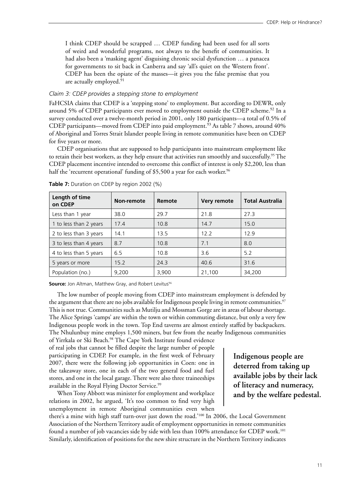I think CDEP should be scrapped … CDEP funding had been used for all sorts of weird and wonderful programs, not always to the benefit of communities. It had also been a 'masking agent' disguising chronic social dysfunction … a panacea for governments to sit back in Canberra and say 'all's quiet on the Western front'. CDEP has been the opiate of the masses—it gives you the false premise that you are actually employed.<sup>91</sup>

#### *Claim 3: CDEP provides a stepping stone to employment*

FaHCSIA claims that CDEP is a 'stepping stone' to employment. But according to DEWR, only around 5% of CDEP participants ever moved to employment outside the CDEP scheme.<sup>92</sup> In a survey conducted over a twelve-month period in 2001, only 180 participants—a total of 0.5% of CDEP participants—moved from CDEP into paid employment.<sup>93</sup> As table 7 shows, around 40% of Aboriginal and Torres Strait Islander people living in remote communities have been on CDEP for five years or more.

CDEP organisations that are supposed to help participants into mainstream employment like to retain their best workers, as they help ensure that activities run smoothly and successfully.<sup>95</sup> The CDEP placement incentive intended to overcome this conflict of interest is only \$2,200, less than half the 'recurrent operational' funding of \$5,500 a year for each worker.<sup>96</sup>

| Length of time<br>on CDEP | Non-remote | Remote | Very remote | <b>Total Australia</b> |
|---------------------------|------------|--------|-------------|------------------------|
| Less than 1 year          | 38.0       | 29.7   | 21.8        | 27.3                   |
| 1 to less than 2 years    | 17.4       | 10.8   | 14.7        | 15.0                   |
| 2 to less than 3 years    | 14.1       | 13.5   | 12.2        | 12.9                   |
| 3 to less than 4 years    | 8.7        | 10.8   | 7.1         | 8.0                    |
| 4 to less than 5 years    | 6.5        | 10.8   | 3.6         | 5.2                    |
| 5 years or more           | 15.2       | 24.3   | 40.6        | 31.6                   |
| Population (no.)          | 9,200      | 3,900  | 21,100      | 34,200                 |

**Table 7:** Duration on CDEP by region 2002 (%)

**Source:** Jon Altman, Matthew Gray, and Robert Levitus<sup>94</sup>

The low number of people moving from CDEP into mainstream employment is defended by the argument that there are no jobs available for Indigenous people living in remote communities.<sup>97</sup> This is not true. Communities such as Mutilju and Mossman Gorge are in areas of labour shortage. The Alice Springs 'camps' are within the town or within commuting distance, but only a very few Indigenous people work in the town. Top End taverns are almost entirely staffed by backpackers. The Nhulunbuy mine employs 1,500 miners, but few from the nearby Indigenous communities

of Yirrkala or Ski Beach.<sup>98</sup> The Cape York Institute found evidence of real jobs that cannot be filled despite the large number of people participating in CDEP. For example, in the first week of February 2007, there were the following job opportunities in Coen: one in the takeaway store, one in each of the two general food and fuel stores, and one in the local garage. There were also three traineeships available in the Royal Flying Doctor Service.<sup>99</sup>

When Tony Abbott was minister for employment and workplace relations in 2002, he argued, 'It's too common to find very high unemployment in remote Aboriginal communities even when **Indigenous people are deterred from taking up available jobs by their lack of literacy and numeracy, and by the welfare pedestal.**

there's a mine with high staff turn-over just down the road.'<sup>100</sup> In 2006, the Local Government Association of the Northern Territory audit of employment opportunities in remote communities found a number of job vacancies side by side with less than 100% attendance for CDEP work.101 Similarly, identification of positions for the new shire structure in the Northern Territory indicates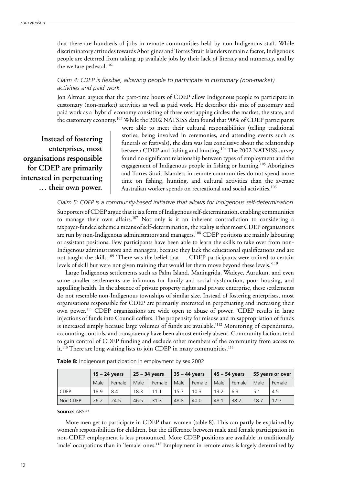that there are hundreds of jobs in remote communities held by non-Indigenous staff. While discriminatory attitudes towards Aborigines and Torres Strait Islanders remain a factor, Indigenous people are deterred from taking up available jobs by their lack of literacy and numeracy, and by the welfare pedestal.<sup>102</sup>

#### *Claim 4: CDEP is flexible, allowing people to participate in customary (non-market) activities and paid work*

Jon Altman argues that the part-time hours of CDEP allow Indigenous people to participate in customary (non-market) activities as well as paid work. He describes this mix of customary and paid work as a 'hybrid' economy consisting of three overlapping circles: the market, the state, and the customary economy.103 While the 2002 NATSISS data found that 90% of CDEP participants

**Instead of fostering enterprises, most organisations responsible for CDEP are primarily interested in perpetuating … their own power.**

were able to meet their cultural responsibilities (telling traditional stories, being involved in ceremonies, and attending events such as funerals or festivals), the data was less conclusive about the relationship between CDEP and fishing and hunting.<sup>104</sup> The 2002 NATSISS survey found no significant relationship between types of employment and the engagement of Indigenous people in fishing or hunting.<sup>105</sup> Aborigines and Torres Strait Islanders in remote communities do not spend more time on fishing, hunting, and cultural activities than the average Australian worker spends on recreational and social activities.<sup>106</sup>

#### *Claim 5: CDEP is a community-based initiative that allows for Indigenous self-determination*

Supporters of CDEP argue that it is a form of Indigenous self-determination, enabling communities to manage their own affairs.107 Not only is it an inherent contradiction to considering a taxpayer-funded scheme a means of self-determination, the reality is that most CDEP organisations are run by non-Indigenous administrators and managers.<sup>108</sup> CDEP positions are mainly labouring or assistant positions. Few participants have been able to learn the skills to take over from non-Indigenous administrators and managers, because they lack the educational qualifications and are not taught the skills.<sup>109</sup> 'There was the belief that ... CDEP participants were trained to certain levels of skill but were not given training that would let them move beyond these levels.'110

Large Indigenous settlements such as Palm Island, Maningrida, Wadeye, Aurukun, and even some smaller settlements are infamous for family and social dysfunction, poor housing, and appalling health. In the absence of private property rights and private enterprise, these settlements do not resemble non-Indigenous townships of similar size. Instead of fostering enterprises, most organisations responsible for CDEP are primarily interested in perpetuating and increasing their own power.111 CDEP organisations are wide open to abuse of power. 'CDEP results in large injections of funds into Council coffers. The propensity for misuse and misappropriation of funds is increased simply because large volumes of funds are available.'112 Monitoring of expenditures, accounting controls, and transparency have been almost entirely absent. Community factions tend to gain control of CDEP funding and exclude other members of the community from access to it.<sup>113</sup> There are long waiting lists to join CDEP in many communities.<sup>114</sup>

|             | $15 - 24$ years |        | 25 – 34 years |        | 35 - 44 years |        | 45 – 54 years |        | 55 years or over |        |
|-------------|-----------------|--------|---------------|--------|---------------|--------|---------------|--------|------------------|--------|
|             | Male            | Female | Male          | Female | Male          | Female | Male          | Female | Male             | Female |
| <b>CDEP</b> | 18.9            | 8.4    | 18.3          | 11.1   | 15.7          | 10.3   | 13.2          | 6.3    | 5.1              | 4.5    |
| Non-CDEP    | 26.2            | 24.5   | 46.5          | 31.3   | 48.8          | 40.0   | 48.1          | 38.2   | 18.7             | 17.7   |

**Table 8:** Indigenous participation in employment by sex 2002

Source: ABS<sup>115</sup>

More men get to participate in CDEP than women (table 8). This can partly be explained by women's responsibilities for children, but the difference between male and female participation in non-CDEP employment is less pronounced. More CDEP positions are available in traditionally 'male' occupations than in 'female' ones.116 Employment in remote areas is largely determined by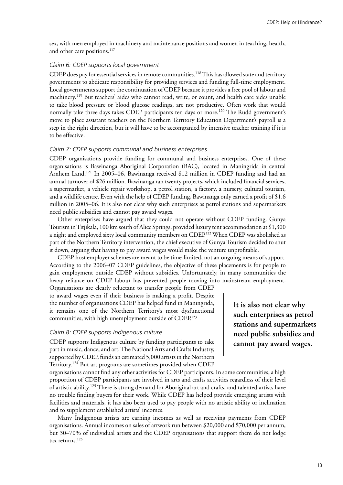sex, with men employed in machinery and maintenance positions and women in teaching, health, and other care positions.<sup>117</sup>

#### *Claim 6: CDEP supports local government*

CDEP does pay for essential services in remote communities.<sup>118</sup> This has allowed state and territory governments to abdicate responsibility for providing services and funding full-time employment. Local governments support the continuation of CDEP because it provides a free pool of labour and machinery.119 But teachers' aides who cannot read, write, or count, and health care aides unable to take blood pressure or blood glucose readings, are not productive. Often work that would normally take three days takes CDEP participants ten days or more.<sup>120</sup> The Rudd government's move to place assistant teachers on the Northern Territory Education Department's payroll is a step in the right direction, but it will have to be accompanied by intensive teacher training if it is to be effective.

#### *Claim 7: CDEP supports communal and business enterprises*

CDEP organisations provide funding for communal and business enterprises. One of these organisations is Bawinanga Aboriginal Corporation (BAC), located in Maningrida in central Arnhem Land.121 In 2005–06, Bawinanga received \$12 million in CDEP funding and had an annual turnover of \$26 million. Bawinanga ran twenty projects, which included financial services, a supermarket, a vehicle repair workshop, a petrol station, a factory, a nursery, cultural tourism, and a wildlife centre. Even with the help of CDEP funding, Bawinanga only earned a profit of \$1.6 million in 2005–06. It is also not clear why such enterprises as petrol stations and supermarkets need public subsidies and cannot pay award wages.

Other enterprises have argued that they could not operate without CDEP funding. Gunya Tourism in Titjikala, 100 km south of Alice Springs, provided luxury tent accommodation at \$1,300 a night and employed sixty local community members on CDEP.122 When CDEP was abolished as part of the Northern Territory intervention, the chief executive of Gunya Tourism decided to shut it down, arguing that having to pay award wages would make the venture unprofitable.

CDEP host employer schemes are meant to be time-limited, not an ongoing means of support. According to the 2006–07 CDEP guidelines, the objective of these placements is for people to gain employment outside CDEP without subsidies. Unfortunately, in many communities the heavy reliance on CDEP labour has prevented people moving into mainstream employment.

Organisations are clearly reluctant to transfer people from CDEP to award wages even if their business is making a profit. Despite the number of organisations CDEP has helped fund in Maningrida, it remains one of the Northern Territory's most dysfunctional communities, with high unemployment outside of CDEP.123

#### *Claim 8: CDEP supports Indigenous culture*

CDEP supports Indigenous culture by funding participants to take part in music, dance, and art. The National Arts and Crafts Industry, supported by CDEP, funds an estimated 5,000 artists in the Northern Territory.124 But art programs are sometimes provided when CDEP

organisations cannot find any other activities for CDEP participants. In some communities, a high proportion of CDEP participants are involved in arts and crafts activities regardless of their level of artistic ability.<sup>125</sup> There is strong demand for Aboriginal art and crafts, and talented artists have no trouble finding buyers for their work. While CDEP has helped provide emerging artists with facilities and materials, it has also been used to pay people with no artistic ability or inclination and to supplement established artists' incomes.

Many Indigenous artists are earning incomes as well as receiving payments from CDEP organisations. Annual incomes on sales of artwork run between \$20,000 and \$70,000 per annum, but 30–70% of individual artists and the CDEP organisations that support them do not lodge tax returns.<sup>126</sup>

**It is also not clear why such enterprises as petrol stations and supermarkets need public subsidies and cannot pay award wages.**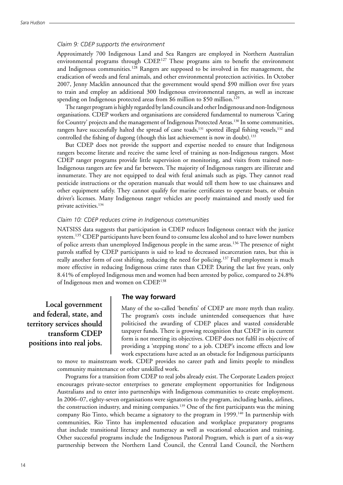#### *Claim 9: CDEP supports the environment*

Approximately 700 Indigenous Land and Sea Rangers are employed in Northern Australian environmental programs through CDEP.<sup>127</sup> These programs aim to benefit the environment and Indigenous communities.<sup>128</sup> Rangers are supposed to be involved in fire management, the eradication of weeds and feral animals, and other environmental protection activities. In October 2007, Jenny Macklin announced that the government would spend \$90 million over five years to train and employ an additional 300 Indigenous environmental rangers, as well as increase spending on Indigenous protected areas from \$6 million to \$50 million.<sup>129</sup>

The ranger program is highly regarded by land councils and other Indigenous and non-Indigenous organisations. CDEP workers and organisations are considered fundamental to numerous 'Caring for Country' projects and the management of Indigenous Protected Areas.<sup>130</sup> In some communities, rangers have successfully halted the spread of cane toads,<sup>131</sup> spotted illegal fishing vessels,<sup>132</sup> and controlled the fishing of dugong (though this last achievement is now in doubt).<sup>133</sup>

But CDEP does not provide the support and expertise needed to ensure that Indigenous rangers become literate and receive the same level of training as non-Indigenous rangers. Most CDEP ranger programs provide little supervision or monitoring, and visits from trained non-Indigenous rangers are few and far between. The majority of Indigenous rangers are illiterate and innumerate. They are not equipped to deal with feral animals such as pigs. They cannot read pesticide instructions or the operation manuals that would tell them how to use chainsaws and other equipment safely. They cannot qualify for marine certificates to operate boats, or obtain driver's licenses. Many Indigenous ranger vehicles are poorly maintained and mostly used for private activities.134

#### *Claim 10: CDEP reduces crime in Indigenous communities*

NATSISS data suggests that participation in CDEP reduces Indigenous contact with the justice system.<sup>135</sup> CDEP participants have been found to consume less alcohol and to have lower numbers of police arrests than unemployed Indigenous people in the same areas.<sup>136</sup> The presence of night patrols staffed by CDEP participants is said to lead to decreased incarceration rates, but this is really another form of cost shifting, reducing the need for policing.<sup>137</sup> Full employment is much more effective in reducing Indigenous crime rates than CDEP. During the last five years, only 8.41% of employed Indigenous men and women had been arrested by police, compared to 24.8% of Indigenous men and women on CDEP.138

**Local government and federal, state, and territory services should transform CDEP positions into real jobs.**

#### **The way forward**

Many of the so-called 'benefits' of CDEP are more myth than reality. The program's costs include unintended consequences that have politicised the awarding of CDEP places and wasted considerable taxpayer funds. There is growing recognition that CDEP in its current form is not meeting its objectives. CDEP does not fulfil its objective of providing a 'stepping stone' to a job. CDEP's income effects and low work expectations have acted as an obstacle for Indigenous participants

to move to mainstream work. CDEP provides no career path and limits people to mindless community maintenance or other unskilled work.

Programs for a transition from CDEP to real jobs already exist. The Corporate Leaders project encourages private-sector enterprises to generate employment opportunities for Indigenous Australians and to enter into partnerships with Indigenous communities to create employment. In 2006–07, eighty-seven organisations were signatories to the program, including banks, airlines, the construction industry, and mining companies.139 One of the first participants was the mining company Rio Tinto, which became a signatory to the program in 1999.<sup>140</sup> In partnership with communities, Rio Tinto has implemented education and workplace preparatory programs that include transitional literacy and numeracy as well as vocational education and training. Other successful programs include the Indigenous Pastoral Program, which is part of a six-way partnership between the Northern Land Council, the Central Land Council, the Northern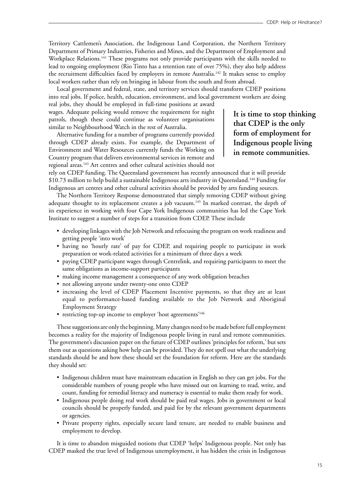Territory Cattlemen's Association, the Indigenous Land Corporation, the Northern Territory Department of Primary Industries, Fisheries and Mines, and the Department of Employment and Workplace Relations.<sup>141</sup> These programs not only provide participants with the skills needed to lead to ongoing employment (Rio Tinto has a retention rate of over 75%), they also help address the recruitment difficulties faced by employers in remote Australia.<sup>142</sup> It makes sense to employ local workers rather than rely on bringing in labour from the south and from abroad.

Local government and federal, state, and territory services should transform CDEP positions into real jobs. If police, health, education, environment, and local government workers are doing

real jobs, they should be employed in full-time positions at award wages. Adequate policing would remove the requirement for night patrols, though these could continue as volunteer organisations similar to Neighbourhood Watch in the rest of Australia.

Alternative funding for a number of programs currently provided through CDEP already exists. For example, the Department of Environment and Water Resources currently funds the Working on Country program that delivers environmental services in remote and regional areas.143 Art centres and other cultural activities should not

**It is time to stop thinking that CDEP is the only form of employment for Indigenous people living in remote communities.**

rely on CDEP funding. The Queensland government has recently announced that it will provide \$10.73 million to help build a sustainable Indigenous arts industry in Queensland.144 Funding for Indigenous art centres and other cultural activities should be provided by arts funding sources.

The Northern Territory Response demonstrated that simply removing CDEP without giving adequate thought to its replacement creates a job vacuum.<sup>145</sup> In marked contrast, the depth of its experience in working with four Cape York Indigenous communities has led the Cape York Institute to suggest a number of steps for a transition from CDEP. These include

- developing linkages with the Job Network and refocusing the program on work readiness and getting people 'into work'
- having no 'hourly rate' of pay for CDEP, and requiring people to participate in work preparation or work-related activities for a minimum of three days a week
- paying CDEP participant wages through Centrelink, and requiring participants to meet the same obligations as income-support participants
- making income management a consequence of any work obligation breaches
- not allowing anyone under twenty-one onto CDEP
- increasing the level of CDEP Placement Incentive payments, so that they are at least equal to performance-based funding available to the Job Network and Aboriginal Employment Strategy
- restricting top-up income to employer 'host agreements'<sup>146</sup>

These suggestions are only the beginning. Many changes need to be made before full employment becomes a reality for the majority of Indigenous people living in rural and remote communities. The government's discussion paper on the future of CDEP outlines 'principles for reform,' but sets them out as questions asking how help can be provided. They do not spell out what the underlying standards should be and how these should set the foundation for reform. Here are the standards they should set:

- Indigenous children must have mainstream education in English so they can get jobs. For the considerable numbers of young people who have missed out on learning to read, write, and count, funding for remedial literacy and numeracy is essential to make them ready for work.
- Indigenous people doing real work should be paid real wages. Jobs in government or local councils should be properly funded, and paid for by the relevant government departments or agencies.
- Private property rights, especially secure land tenure, are needed to enable business and employment to develop.

It is time to abandon misguided notions that CDEP 'helps' Indigenous people. Not only has CDEP masked the true level of Indigenous unemployment, it has hidden the crisis in Indigenous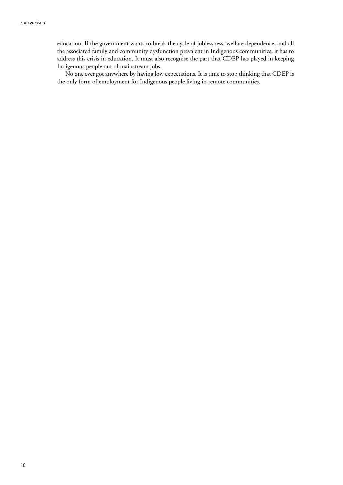education. If the government wants to break the cycle of joblessness, welfare dependence, and all the associated family and community dysfunction prevalent in Indigenous communities, it has to address this crisis in education. It must also recognise the part that CDEP has played in keeping Indigenous people out of mainstream jobs.

No one ever got anywhere by having low expectations. It is time to stop thinking that CDEP is the only form of employment for Indigenous people living in remote communities.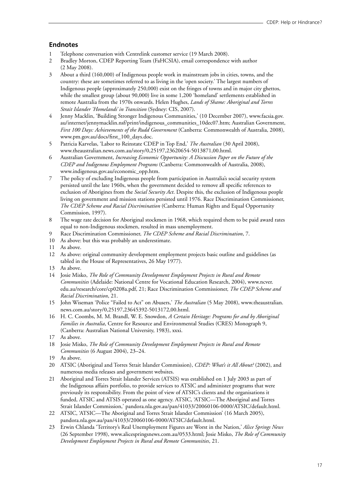#### **Endnotes**

- 1 Telephone conversation with Centrelink customer service (19 March 2008).
- 2 Bradley Morton, CDEP Reporting Team (FaHCSIA), email correspondence with author (2 May 2008).
- 3 About a third (160,000) of Indigenous people work in mainstream jobs in cities, towns, and the country: these are sometimes referred to as living in the 'open society.' The largest numbers of Indigenous people (approximately 250,000) exist on the fringes of towns and in major city ghettos, while the smallest group (about 90,000) live in some 1,200 'homeland' settlements established in remote Australia from the 1970s onwards. Helen Hughes, *Lands of Shame: Aboriginal and Torres Strait Islander 'Homelands' in Transition* (Sydney: CIS, 2007).
- 4 Jenny Macklin, 'Building Stronger Indigenous Communities,' (10 December 2007), www.facsia.gov. au/internet/jennymacklin.nsf/print/indigenous\_communities\_10dec07.htm; Australian Government, *First 100 Days: Achievements of the Rudd Government* (Canberra: Commonwealth of Australia, 2008), www.pm.gov.au/docs/first\_100\_days.doc.
- 5 Patricia Karvelas, 'Labor to Reinstate CDEP in Top End,' *The Australian* (30 April 2008), www.theaustralian.news.com.au/story/0,25197,23620654-5013871,00.html.
- 6 Australian Government, *Increasing Economic Opportunity: A Discussion Paper on the Future of the CDEP and Indigenous Employment Programs* (Canberra: Commonwealth of Australia, 2008), www.indigenous.gov.au/economic\_opp.htm.
- 7 The policy of excluding Indigenous people from participation in Australia's social security system persisted until the late 1960s, when the government decided to remove all specific references to exclusion of Aborigines from the *Social Security Act*. Despite this, the exclusion of Indigenous people living on government and mission stations persisted until 1976. Race Discrimination Commissioner, *The CDEP Scheme and Racial Discrimination* (Canberra: Human Rights and Equal Opportunity Commission, 1997).
- 8 The wage rate decision for Aboriginal stockmen in 1968, which required them to be paid award rates equal to non-Indigenous stockmen, resulted in mass unemployment.
- 9 Race Discrimination Commissioner, *The CDEP Scheme and Racial Discrimination*, 7.
- 10 As above: but this was probably an underestimate.
- 11 As above.
- 12 As above: original community development employment projects basic outline and guidelines (as tabled in the House of Representatives, 26 May 1977).
- 13 As above.
- 14 Josie Misko, *The Role of Community Development Employment Projects in Rural and Remote Communities* (Adelaide: National Centre for Vocational Education Research, 2004), www.ncver. edu.au/research/core/cp0208a.pdf, 21; Race Discrimination Commissioner, *The CDEP Scheme and Racial Discrimination*, 21.
- 15 John Wiseman 'Police "Failed to Act" on Abusers,' *The Australian* (5 May 2008), www.theaustralian. news.com.au/story/0,25197,23645392-5013172,00.html.
- 16 H. C. Coombs, M. M. Brandl, W. E. Snowdon, *A Certain Heritage: Programs for and by Aboriginal Families in Australia*, Centre for Resource and Environmental Studies (CRES) Monograph 9, (Canberra: Australian National University, 1983), xxxi.
- 17 As above.
- 18 Josie Misko, *The Role of Community Development Employment Projects in Rural and Remote Communities* (6 August 2004), 23–24.
- 19 As above.
- 20 ATSIC (Aboriginal and Torres Strait Islander Commission), *CDEP: What's it All About?* (2002), and numerous media releases and government websites.
- 21 Aboriginal and Torres Strait Islander Services (ATSIS) was established on 1 July 2003 as part of the Indigenous affairs portfolio, to provide services to ATSIC and administer programs that were previously its responsibility. From the point of view of ATSIC's clients and the organisations it funded, ATSIC and ATSIS operated as one agency. ATSIC, 'ATSIC—The Aboriginal and Torres Strait Islander Commission,' pandora.nla.gov.au/pan/41033/20060106-0000/ATSIC/default.html.
- 22 ATSIC, 'ATSIC—The Aboriginal and Torres Strait Islander Commission' (16 March 2005), pandora.nla.gov.au/pan/41033/20060106-0000/ATSIC/default.html.
- 23 Erwin Chlanda 'Territory's Real Unemployment Figures are Worst in the Nation,' *Alice Springs News* (26 September 1998), www.alicespringsnews.com.au/0533.html; Josie Misko, *The Role of Community Development Employment Projects in Rural and Remote Communities*, 21.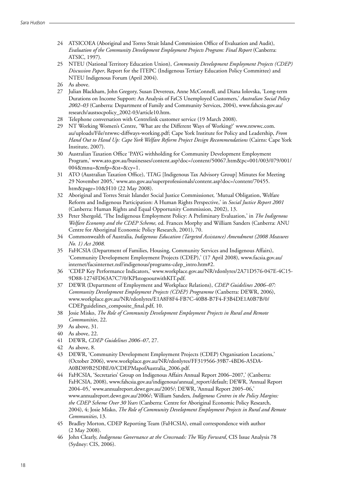- 24 ATSICOEA (Aboriginal and Torres Strait Island Commission Office of Evaluation and Audit), *Evaluation of the Community Development Employment Projects Program: Final Report* (Canberra: ATSIC, 1997).
- 25 NTEU (National Territory Education Union), *Community Development Employment Projects (CDEP) Discussion Paper*, Report for the ITEPC (Indigenous Tertiary Education Policy Committee) and NTEU Indigenous Forum (April 2004).
- 26 As above.
- 27 Julian Blackham, John Gregory, Susan Devereux, Anne McConnell, and Diana Iolovska, 'Long-term Durations on Income Support: An Analysis of FaCS Unemployed Customers,' *Australian Social Policy 2002–03* (Canberra: Department of Family and Community Services, 2004), www.fahcsia.gov.au/ research/austsocpolicy\_2002-03/article10.htm.
- 28 Telephone conversation with Centrelink customer service (19 March 2008).
- 29 NT Working Women's Centre, 'What are the Different Ways of Working?' www.ntwwc.com. au/uploads/File/ntwwc-diffways-working.pdf; Cape York Institute for Policy and Leadership, *From Hand Out to Hand Up: Cape York Welfare Reform Project Design Recommendations* (Cairns: Cape York Institute, 2007).
- 30 Australian Taxation Office 'PAYG withholding for Community Development Employment Program,' www.ato.gov.au/businesses/content.asp?doc=/content/50067.htm&pc=001/003/079/001/ 004&mnu=&mfp=&st=&cy=1.
- 31 ATO (Australian Taxation Office), 'ITAG [Indigenous Tax Advisory Group] Minutes for Meeting 29 November 2005,' www.ato.gov.au/superprofessionals/content.asp?doc=/content/70455. htm&page=10&H10 (22 May 2008).
- 32 Aboriginal and Torres Strait Islander Social Justice Commissioner, 'Mutual Obligation, Welfare Reform and Indigenous Participation: A Human Rights Perspective,' in *Social Justice Report 2001*  (Canberra: Human Rights and Equal Opportunity Commission, 2002), 13.
- 33 Peter Shergold, 'The Indigenous Employment Policy: A Preliminary Evaluation,' in *The Indigenous Welfare Economy and the CDEP Scheme,* ed. Frances Morphy and William Sanders (Canberra: ANU Centre for Aboriginal Economic Policy Research, 2001), 70.
- 34 Commonwealth of Australia, *Indigenous Education (Targeted Assistance) Amendment (2008 Measures No. 1) Act 2008.*
- 35 FaHCSIA (Department of Families, Housing, Community Services and Indigenous Affairs), 'Community Development Employment Projects (CDEP),' (17 April 2008), www.facsia.gov.au/ internet/facsinternet.nsf/indigenous/programs-cdep\_intro.htm#2.
- 36 'CDEP Key Performance Indicators,' www.workplace.gov.au/NR/rdonlyres/2A71D576-047E-4C15- 9D88-1274FD63A7C7/0/KPIstogooutwithKIT.pdf.
- 37 DEWR (Department of Employment and Workplace Relations), *CDEP Guidelines 2006–07: Community Development Employment Projects (CDEP) Programme* (Canberra: DEWR, 2006), www.workplace.gov.au/NR/rdonlyres/E1A8F8F4-FB7C-40B8-B7F4-F3B4DE1A0B7B/0/ CDEPguidelines\_composite\_final.pdf, 10.
- 38 Josie Misko, *The Role of Community Development Employment Projects in Rural and Remote Communities*, 22.
- 39 As above, 31.
- 40 As above, 22.
- 41 DEWR, *CDEP Guidelines 2006–07*, 27.
- 42 As above, 8.
- 43 DEWR, 'Community Development Employment Projects (CDEP) Organisation Locations,' (October 2006), www.workplace.gov.au/NR/rdonlyres/FF319566-39B7-4BD6-A5DA-A0BD89B25DBE/0/CDEPMapofAustralia\_2006.pdf.
- 44 FaHCSIA, 'Secretaries' Group on Indigenous Affairs Annual Report 2006–2007,' (Canberra: FaHCSIA, 2008), www.fahcsia.gov.au/indigenous/annual\_report/default; DEWR, 'Annual Report 2004–05,' www.annualreport.dewr.gov.au/2005/; DEWR, 'Annual Report 2005–06,' www.annualreport.dewr.gov.au/2006/; William Sanders*, Indigenous Centres in the Policy Margins: the CDEP Scheme Over 30 Years* (Canberra: Centre for Aboriginal Economic Policy Research, 2004), 4; Josie Misko, *The Role of Community Development Employment Projects in Rural and Remote Communities*, 13.
- 45 Bradley Morton, CDEP Reporting Team (FaHCSIA), email correspondence with author (2 May 2008).
- 46 John Clearly, *Indigenous Governance at the Crossroads: The Way Forward*, CIS Issue Analysis 78 (Sydney: CIS, 2006).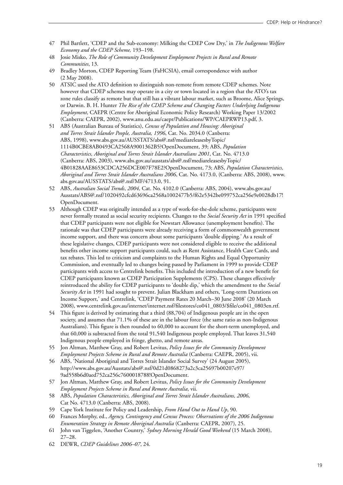- 47 Phil Bartlett, 'CDEP and the Sub-economy: Milking the CDEP Cow Dry,' in *The Indigenous Welfare Economy and the CDEP Scheme,* 193–198.
- 48 Josie Misko, *The Role of Community Development Employment Projects in Rural and Remote Communities*, 13.
- 49 Bradley Morton, CDEP Reporting Team (FaHCSIA), email correspondence with author (2 May 2008).
- 50 ATSIC used the ATO definition to distinguish non-remote from remote CDEP schemes. Note however that CDEP schemes may operate in a city or town located in a region that the ATO's tax zone rules classify as remote but that still has a vibrant labour market, such as Broome, Alice Springs, or Darwin. B. H. Hunter *The Rise of the CDEP Scheme and Changing Factors Underlying Indigenous Employment*, CAEPR (Centre for Aboriginal Economic Policy Research) Working Paper 13/2002 (Canberra: CAEPR, 2002), www.anu.edu.au/caepr/Publications/WP/CAEPRWP13.pdf, 3.
- 51 ABS (Australian Bureau of Statistics), *Census of Population and Housing: Aboriginal and Torres Strait Islander People, Australia, 1996*, Cat. No. 2034.0 (Canberra: ABS, 1998), www.abs.gov.au/AUSSTATS/abs@.nsf/mediareleasesbyTopic/ 1114B0CBE8AB0493CA2568A9001362B5?OpenDocument, 39; ABS, *Population Characteristics, Aboriginal and Torres Strait Islander Australians 2001*, Cat. No. 4713.0 (Canberra: ABS, 2003), www.abs.gov.au/ausstats/abs@.nsf/mediareleasesbyTopic/ 4B01828AAE8653CDCA256DCE007F78E2?OpenDocument, 73; ABS, *Population Characteristics, Aboriginal and Torres Strait Islander Australians 2006*, Cat. No. 4173.0, (Canberra: ABS, 2008), www. abs.gov.au/AUSSTATS/abs@.nsf/MF/4713.0, 91.
- 52 ABS, *Australian Social Trends*, *2004,* Cat. No. 4102.0 (Canberra: ABS, 2004), www.abs.gov.au/ Ausstats/ABS@.nsf/1020492cfcd63696ca2568a1002477b5/f62e5342be099752ca256e9e0028db17! OpenDocument.
- 53 Although CDEP was originally intended as a type of work-for-the-dole scheme, participants were never formally treated as social security recipients. Changes to the *Social Security Act* in 1991 specified that CDEP participants were not eligible for Newstart Allowance (unemployment benefits). The rationale was that CDEP participants were already receiving a form of commonwealth government income support, and there was concern about some participants 'double dipping.' As a result of these legislative changes, CDEP participants were not considered eligible to receive the additional benefits other income support participants could, such as Rent Assistance, Health Care Cards, and tax rebates. This led to criticism and complaints to the Human Rights and Equal Opportunity Commission, and eventually led to changes being passed by Parliament in 1999 to provide CDEP participants with access to Centrelink benefits. This included the introduction of a new benefit for CDEP participants known as CDEP Participation Supplements (CPS). These changes effectively reintroduced the ability for CDEP participants to 'double dip,' which the amendment to the *Social Security Act* in 1991 had sought to prevent. Julian Blackham and others, 'Long-term Durations on Income Support,' and Centrelink, 'CDEP Payment Rates 20 March–30 June 2008' (20 March 2008), www.centrelink.gov.au/internet/internet.nsf/filestores/co041\_0803/\$file/co041\_0803en.rtf.
- 54 This figure is derived by estimating that a third (88,704) of Indigenous people are in the open society, and assumes that 71.1% of these are in the labour force (the same ratio as non-Indigenous Australians). This figure is then rounded to 60,000 to account for the short-term unemployed, and that 60,000 is subtracted from the total 91,540 Indigenous people employed. That leaves 31,540 Indigenous people employed in fringe, ghetto, and remote areas.
- 55 Jon Altman, Matthew Gray, and Robert Levitus, *Policy Issues for the Community Development Employment Projects Scheme in Rural and Remote Australia* (Canberra: CAEPR, 2005), vii.
- 56 ABS, 'National Aboriginal and Torres Strait Islander Social Survey' (24 August 2005), http://www.abs.gov.au/Ausstats/abs@.nsf/0d21d0868273a2c3ca25697b00207e97/ 9ad558b6d0aed752ca256c7600018788!OpenDocument.
- 57 Jon Altman, Matthew Gray, and Robert Levitus, *Policy Issues for the Community Development Employment Projects Scheme in Rural and Remote Australia*, vii.
- 58 ABS, *Population Characteristics, Aboriginal and Torres Strait Islander Australians, 2006*, Cat No. 4713.0 (Canberra: ABS, 2008).
- 59 Cape York Institute for Policy and Leadership, *From Hand Out to Hand Up*, 90.
- 60 Frances Morphy, ed., *Agency, Contingency and Census Process: Observations of the 2006 Indigenous Enumeration Strategy in Remote Aboriginal Australia* (Canberra: CAEPR, 2007), 25.
- 61 John van Tiggelen, 'Another Country,' *Sydney Morning Herald Good Weekend* (15 March 2008), 27–28.
- 62 DEWR, *CDEP Guidelines 2006–07*, 24.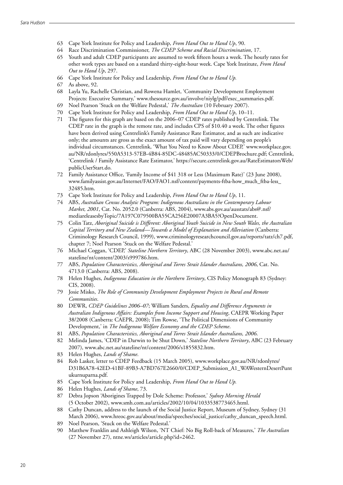- 63 Cape York Institute for Policy and Leadership, *From Hand Out to Hand Up*, 90.
- 64 Race Discrimination Commissioner, *The CDEP Scheme and Racial Discrimination*, 17.
- 65 Youth and adult CDEP participants are assumed to work fifteen hours a week. The hourly rates for other work types are based on a standard thirty-eight-hour week. Cape York Institute, *From Hand Out to Hand Up*, 297.
- 66 Cape York Institute for Policy and Leadership, *From Hand Out to Hand Up.*
- 67 As above, 92.
- 68 Layla Yu, Rachelle Christian, and Rowena Hamlet, 'Community Development Employment Projects: Executive Summary,' www.thesource.gov.au/involve/niylg/pdf/exec\_summaries.pdf.
- 69 Noel Pearson 'Stuck on the Welfare Pedestal,' *The Australian* (10 February 2007).
- 70 Cape York Institute for Policy and Leadership, *From Hand Out to Hand Up*, 10–11.
- 71 The figures for this graph are based on the 2006–07 CDEP rates published by Centrelink. The CDEP rate in the graph is the remote rate, and includes CPS of \$10.40 a week. The other figures have been derived using Centrelink's Family Assistance Rate Estimator, and as such are indicative only; the amounts are gross as the exact amount of tax paid will vary depending on people's individual circumstances. Centrelink, 'What You Need to Know About CDEP,' www.workplace.gov. au/NR/rdonlyres/550A5313-57EB-4B84-85DC-48485AC50333/0/CDEPBrochure.pdf; Centrelink, 'Centrelink / Family Assistance Rate Estimator,' https://secure.centrelink.gov.au/RateEstimatorsWeb/ publicUserStart.do.
- 72 Family Assistance Office, 'Family Income of \$41 318 or Less (Maximum Rate)' (23 June 2008), www.familyassist.gov.au/Internet/FAO/FAO1.nsf/content/payments-ftba-how\_much\_ftba-less\_ 32485.htm.
- 73 Cape York Institute for Policy and Leadership, *From Hand Out to Hand Up*, 11.
- 74 ABS, *Australian Census Analytic Program: Indigenous Australians in the Contemporary Labour Market, 2001*, Cat. No. 2052.0 (Canberra: ABS, 2004), www.abs.gov.au/ausstats/abs@.nsf/ mediareleasesbyTopic/7A197C079500BA55CA256E20007A3BA5?OpenDocument.
- 75 Colin Tatz, *Aboriginal Suicide is Different: Aboriginal Youth Suicide in New South Wales, the Australian Capital Territory and New Zealand—Towards a Model of Explanation and Alleviation* (Canberra: Criminology Research Council, 1999), www.criminologyresearchcouncil.gov.au/reports/tatz/ch7.pdf, chapter 7; Noel Pearson 'Stuck on the Welfare Pedestal.'
- 76 Michael Coggan, 'CDEP,' *Stateline Northern Territory*, ABC (28 November 2003), www.abc.net.au/ stateline/nt/content/2003/s999786.htm.
- 77 ABS, *Population Characteristics, Aboriginal and Torres Strait Islander Australians, 2006*, Cat. No. 4713.0 (Canberra: ABS, 2008).
- 78 Helen Hughes, *Indigenous Education in the Northern Territory*, CIS Policy Monograph 83 (Sydney: CIS, 2008).
- 79 Josie Misko, *The Role of Community Development Employment Projects in Rural and Remote Communities*.
- 80 DEWR, *CDEP Guidelines 2006–07*; William Sanders, *Equality and Difference Arguments in Australian Indigenous Affairs: Examples from Income Support and Housing*, CAEPR Working Paper 38/2008 (Canberra: CAEPR, 2008); Tim Rowse, 'The Political Dimensions of Community Development,' in *The Indigenous Welfare Economy and the CDEP Scheme*.
- 81 ABS, *Population Characteristics, Aboriginal and Torres Strait Islander Australians, 2006*.
- 82 Melinda James, 'CDEP in Darwin to be Shut Down,' *Stateline Northern Territory*, ABC (23 February 2007), www.abc.net.au/stateline/nt/content/2006/s1855832.htm.
- 83 Helen Hughes, *Lands of Shame*.
- 84 Rob Lasker, letter to CDEP Feedback (15 March 2005), www.workplace.gov.au/NR/rdonlyres/ D31B6A78-42ED-41BF-89B3-A7BD767E2660/0/CDEP\_Submission\_A1\_WAWesternDesertPunt ukurnuparna.pdf.
- 85 Cape York Institute for Policy and Leadership, *From Hand Out to Hand Up.*
- 86 Helen Hughes, *Lands of Shame*, 73.
- 87 Debra Jopson 'Aborigines Trapped by Dole Scheme: Professor,' *Sydney Morning Herald* (5 October 2002), www.smh.com.au/articles/2002/10/04/1033538773465.html.
- 88 Cathy Duncan, address to the launch of the Social Justice Report, Museum of Sydney, Sydney (31 March 2006), www.hreoc.gov.au/about/media/speeches/social\_justice/cathy\_duncan\_speech.html.
- 89 Noel Pearson, 'Stuck on the Welfare Pedestal.'
- 90 Matthew Franklin and Ashleigh Wilson, 'NT Chief: No Big Roll-back of Measures,' *The Australian* (27 November 27), ntne.ws/articles/article.php?id=2462.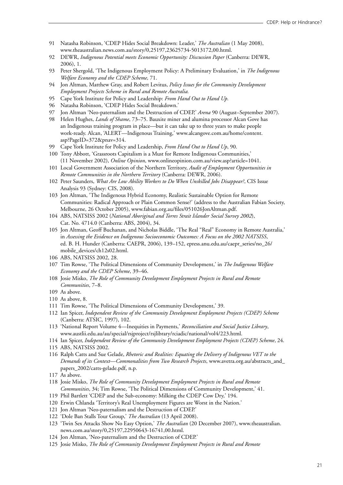- 91 Natasha Robinson, 'CDEP Hides Social Breakdown: Leader,' *The Australian* (1 May 2008), www.theaustralian.news.com.au/story/0,25197,23625734-5013172,00.html.
- 92 DEWR, *Indigenous Potential meets Economic Opportunity: Discussion Paper* (Canberra: DEWR, 2006), 1.
- 93 Peter Shergold, 'The Indigenous Employment Policy: A Preliminary Evaluation,' in *The Indigenous Welfare Economy and the CDEP Scheme,* 71.
- 94 Jon Altman, Matthew Gray, and Robert Levitus, *Policy Issues for the Community Development Employment Projects Scheme in Rural and Remote Australia.*
- 95 Cape York Institute for Policy and Leadership: *From Hand Out to Hand Up.*
- 96 Natasha Robinson, 'CDEP Hides Social Breakdown.'
- 97 Jon Altman 'Neo-paternalism and the Destruction of CDEP,' *Arena* 90 (August–September 2007).
- 98 Helen Hughes, *Lands of Shame*, 73–75. Bauxite miner and alumina processor Alcan Gove has an Indigenous training program in place—but it can take up to three years to make people work-ready. Alcan, 'ALERT—Indigenous Training,' www.alcangove.com.au/home/content. asp?PageID=372&pnav=314.
- 99 Cape York Institute for Policy and Leadership, *From Hand Out to Hand Up*, 90.
- 100 Tony Abbott, 'Grassroots Capitalism is a Must for Remote Indigenous Communities,' (11 November 2002), *Online Opinion*, www.onlineopinion.com.au/view.asp?article=1041.
- 101 Local Government Association of the Northern Territory, *Audit of Employment Opportunities in Remote Communities in the Northern Territory* (Canberra: DEWR, 2006).
- 102 Peter Saunders, *What Are Low Ability Workers to Do When Unskilled Jobs Disappear?*, CIS Issue Analysis 93 (Sydney: CIS, 2008).
- 103 Jon Altman, 'The Indigenous Hybrid Economy, Realistic Sustainable Option for Remote Communities: Radical Approach or Plain Common Sense?' (address to the Australian Fabian Society, Melbourne, 26 October 2005), www.fabian.org.au/files/051026JonAltman.pdf.
- 104 ABS, NATSISS 2002 (*National Aboriginal and Torres Strait Islander Social Survey 2002*), Cat. No. 4714.0 (Canberra: ABS, 2004), 34.
- 105 Jon Altman, Geoff Buchanan, and Nicholas Biddle, 'The Real "Real" Economy in Remote Australia,' in *Assessing the Evidence on Indigenous Socioeconomic Outcomes: A Focus on the 2002 NATSISS*, ed. B. H. Hunder (Canberra: CAEPR, 2006), 139–152, epress.anu.edu.au/caepr\_series/no\_26/ mobile\_devices/ch12s02.html.
- 106 ABS, NATSISS 2002, 28.
- 107 Tim Rowse, 'The Political Dimensions of Community Development,' in *The Indigenous Welfare Economy and the CDEP Scheme*, 39–46.
- 108 Josie Misko, *The Role of Community Development Employment Projects in Rural and Remote Communities*, 7–8.
- 109 As above.
- 110 As above, 8.
- 111 Tim Rowse, 'The Political Dimensions of Community Development,' 39.
- 112 Ian Spicer, *Independent Review of the Community Development Employment Projects (CDEP) Scheme* (Canberra: ATSIC, 1997), 102.
- 113 'National Report Volume 4—Inequities in Payments,' *Reconciliation and Social Justice Library*, www.austlii.edu.au/au/special/rsjproject/rsjlibrary/rciadic/national/vol4/223.html.
- 114 Ian Spicer, *Independent Review of the Community Development Employment Projects (CDEP) Scheme*, 24.
- 115 ABS, NATSISS 2002.
- 116 Ralph Catts and Sue Gelade, *Rhetoric and Realities: Equating the Delivery of Indigenous VET to the Demands of its Context—Commonalities from Two Research Projects*, www.avetra.org.au/abstracts\_and\_ papers\_2002/catts-gelade.pdf, n.p.
- 117 As above.
- 118 Josie Misko, *The Role of Community Development Employment Projects in Rural and Remote Communities*, 34; Tim Rowse, 'The Political Dimensions of Community Development,' 41.
- 119 Phil Bartlett 'CDEP and the Sub-economy: Milking the CDEP Cow Dry,' 194.
- 120 Erwin Chlanda 'Territory's Real Unemployment Figures are Worst in the Nation.'
- 121 Jon Altman 'Neo-paternalism and the Destruction of CDEP.'
- 122 'Dole Ban Stalls Tour Group,' *The Australian* (13 April 2008).
- 123 'Twin Sex Attacks Show No Easy Option,' *The Australian* (20 December 2007), www.theaustralian. news.com.au/story/0,25197,22950643-16741,00.html.
- 124 Jon Altman, 'Neo-paternalism and the Destruction of CDEP.'
- 125 Josie Misko, *The Role of Community Development Employment Projects in Rural and Remote*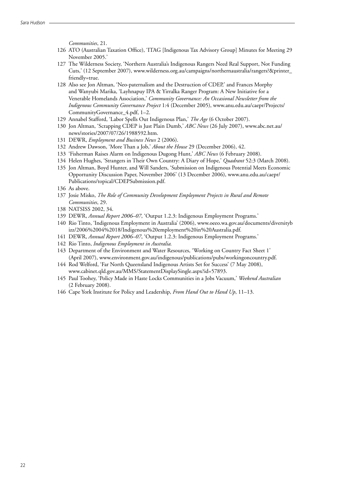*Communities*, 21.

- 126 ATO (Australian Taxation Office), 'ITAG [Indigenous Tax Advisory Group] Minutes for Meeting 29 November 2005.'
- 127 The Wilderness Society, 'Northern Australia's Indigenous Rangers Need Real Support, Not Funding Cuts,' (12 September 2007), www.wilderness.org.au/campaigns/northernaustralia/rangers?&printer\_ friendly=true.
- 128 Also see Jon Altman, 'Neo-paternalism and the Destruction of CDEP,' and Frances Morphy and Wanyubi Marika, 'Layhnapuy IPA & Yirralka Ranger Program: A New Initiative for a Venerable Homelands Association,' *Community Governance: An Occasional Newsletter from the Indigenous Community Governance Project* 1:4 (December 2005), www.anu.edu.au/caepr/Projects/ CommunityGovernance\_4.pdf, 1–2.
- 129 Annabel Stafford, 'Labor Spells Out Indigenous Plan,' *The Age* (6 October 2007).
- 130 Jon Altman, 'Scrapping CDEP is Just Plain Dumb,' *ABC News* (26 July 2007), www.abc.net.au/ news/stories/2007/07/26/1988592.htm.
- 131 DEWR, *Employment and Business News* 2 (2006).
- 132 Andrew Dawson, 'More Than a Job,' *About the House* 29 (December 2006), 42.
- 133 'Fisherman Raises Alarm on Indigenous Dugong Hunt,' *ABC News* (6 February 2008).
- 134 Helen Hughes, 'Strangers in Their Own Country: A Diary of Hope,' *Quadrant* 52:3 (March 2008).
- 135 Jon Altman, Boyd Hunter, and Will Sanders, 'Submission on Indigenous Potential Meets Economic Opportunity Discussion Paper, November 2006' (13 December 2006), www.anu.edu.au/caepr/ Publications/topical/CDEPSubmission.pdf.
- 136 As above.
- 137 Josie Misko, *The Role of Community Development Employment Projects in Rural and Remote Communities*, 29.
- 138 NATSISS 2002, 34.
- 139 DEWR, *Annual Report 2006–07*, 'Output 1.2.3: Indigenous Employment Programs.'
- 140 Rio Tinto, 'Indigenous Employment in Australia' (2006), www.oeeo.wa.gov.au/documents/diversityb izz/2006%2004%2018/Indigenous%20employment%20in%20Australia.pdf.
- 141 DEWR, *Annual Report 2006–07*, 'Output 1.2.3: Indigenous Employment Programs.'
- 142 Rio Tinto, *Indigenous Employment in Australia.*
- 143 Department of the Environment and Water Resources, 'Working on Country Fact Sheet 1' (April 2007), www.environment.gov.au/indigenous/publications/pubs/workingoncountry.pdf.
- 144 Rod Welford, 'Far North Queensland Indigenous Artists Set for Success' (7 May 2008), www.cabinet.qld.gov.au/MMS/StatementDisplaySingle.aspx?id=57893.
- 145 Paul Toohey, 'Policy Made in Haste Locks Communities in a Jobs Vacuum,' *Weekend Australian* (2 February 2008).
- 146 Cape York Institute for Policy and Leadership, *From Hand Out to Hand Up*, 11–13.